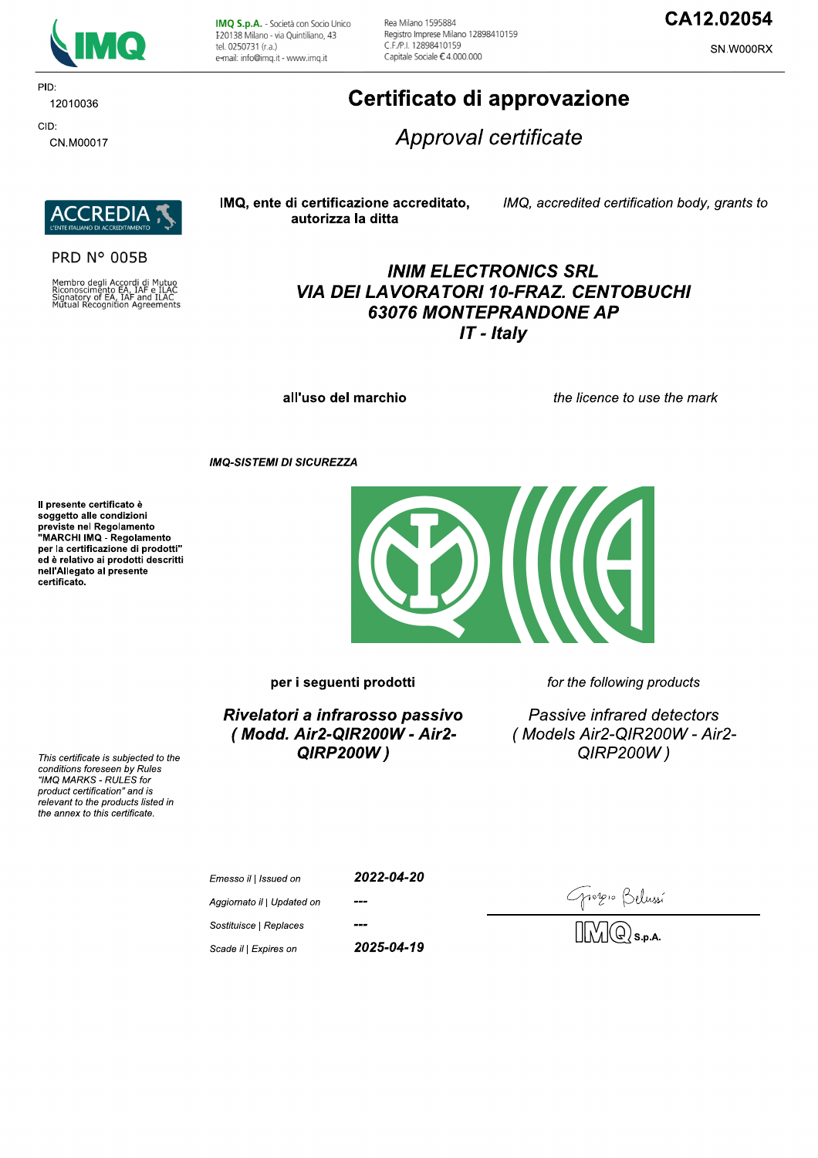

PID: 12010036 CID:

CN.M00017

IMQ S.p.A. - Società con Socio Unico I 20138 Milano - via Quintiliano, 43 tel. 0250731 (r.a.) e-mail: info@imq.it - www.imq.it

Rea Milano 1595884 Registro Imprese Milano 12898410159 C F /P | 12898410159 Capitale Sociale €4.000.000

## CA12.02054

SN.W000RX

## Certificato di approvazione

Approval certificate



#### **PRD N° 005B**

Membro degli Accordi di Mutuo<br>Riconoscimento EA, IAF e ILAC<br>Signatory of EA, IAF and ILAC<br>Mutual Recognition Agreements

#### IMQ, ente di certificazione accreditato, autorizza la ditta

IMQ, accredited certification body, grants to

## **INIM ELECTRONICS SRL VIA DEI LAVORATORI 10-FRAZ. CENTOBUCHI 63076 MONTEPRANDONE AP**  $IT$  - Italy

all'uso del marchio

the licence to use the mark

**IMQ-SISTEMI DI SICUREZZA** 

Il presente certificato è soggetto alle condizioni Soggetto and containmento<br>previste nel Regolamento<br>"MARCHI IMQ - Regolamento per la certificazione di prodotti" ed è relativo ai prodotti descritti nell'Allegato al presente certificato.



per i seguenti prodotti

Rivelatori a infrarosso passivo (Modd. Air2-QIR200W - Air2-**QIRP200W)** 

for the following products

 $\overline{\mathbf{a}}$ 

Passive infrared detectors (Models Air2-QIR200W - Air2-QIRP200W)

This certificate is subjected to the conditions foreseen by Rules "IMQ MARKS - RULES for product certification" and is relevant to the products listed in the annex to this certificate.

| Emesso il   Issued on      | 2022-04-20 |
|----------------------------|------------|
| Aggiornato il   Updated on | ---        |
| Sostituisce   Replaces     |            |

Scade il | Expires on

Emess

2025-04-19

Tropio Belussí<br>DIMQ S.p.a.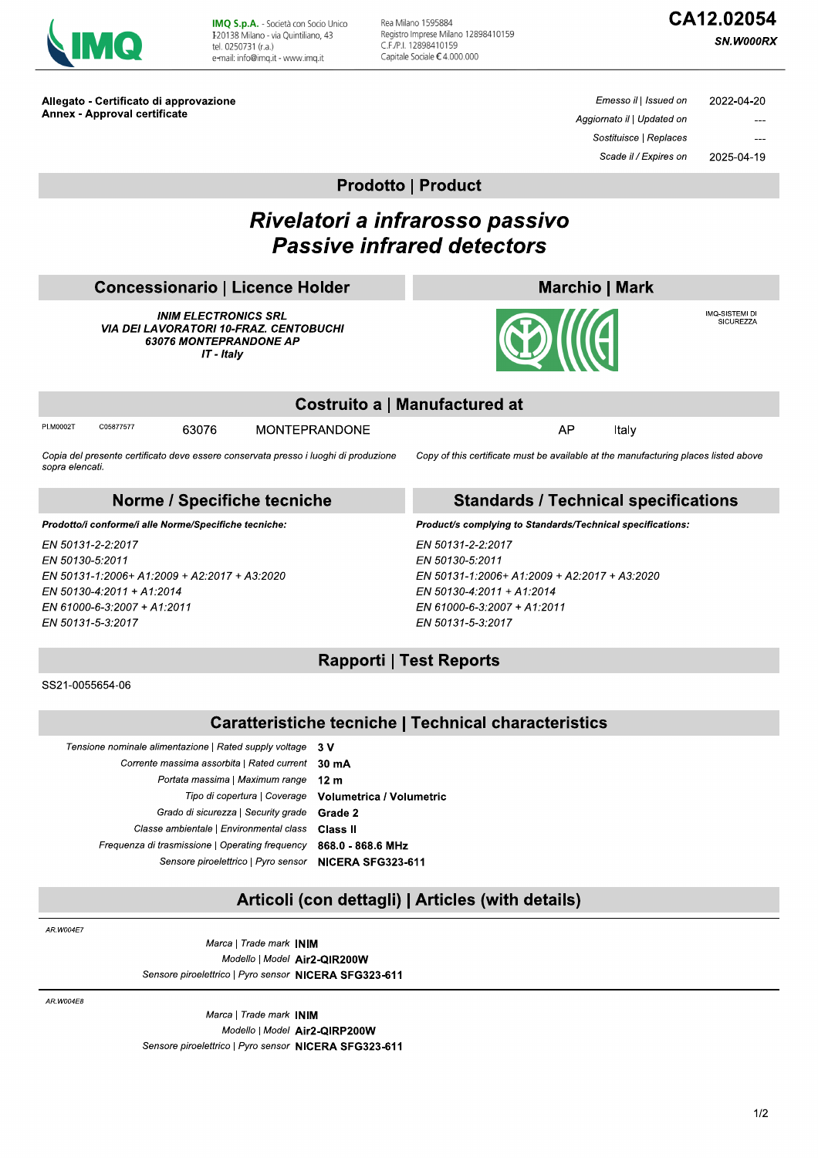| <b>Contract Contract Contract Contract Contract Contract Contract Contract Contract Contract Contract Contract Co</b><br><b>Service Service</b> |
|-------------------------------------------------------------------------------------------------------------------------------------------------|
|-------------------------------------------------------------------------------------------------------------------------------------------------|

IMQ S.p.A. - Società con Socio Unico I 20138 Milano - via Quintiliano, 43 tel. 0250731 (r.a.) e-mail: info@img.it - www.img.it

Rea Milano 1595884 Registro Imprese Milano 12898410159 C.F./P.I. 12898410159 Capitale Sociale €4.000.000

# CA12.02054

SN.W000RX

Allegato - Certificato di approvazione **Annex - Approval certificate** 

Emesso il | Issued on 2022-04-20 Aggiornato il | Updated on Sostituisce | Replaces Scade il / Expires on 2025-04-19

**Prodotto | Product** 

## Rivelatori a infrarosso passivo **Passive infrared detectors**

## **Concessionario | Licence Holder**

**INIM ELECTRONICS SRL VIA DEI LAVORATORI 10-FRAZ. CENTOBUCHI** 63076 MONTEPRANDONE AP IT - Italy



IMQ-SISTEMI DI<br>SICUREZZA



|                               | 3 MW |  |
|-------------------------------|------|--|
| Costruito a   Manufactured at |      |  |
| MONTEPRANDONE                 |      |  |

PLM0002T C05877577

**MONTEPRANDONE** 

Italy

Copy of this certificate must be available at the manufacturing places listed above

#### Copia del presente certificato deve essere conservata presso i luoghi di produzione sopra elencati

63076

#### Norme / Specifiche tecniche

Prodotto/i conforme/i alle Norme/Specifiche tecniche:

EN 50131-2-2:2017 EN 50130-5:2011 EN 50131-1:2006+ A1:2009 + A2:2017 + A3:2020 EN 50130-4:2011 + A1:2014 EN 61000-6-3:2007 + A1:2011 EN 50131-5-3:2017

## **Standards / Technical specifications**

Product/s complying to Standards/Technical specifications:

EN 50131-2-2:2017 EN 50130-5:2011 EN 50131-1:2006+ A1:2009 + A2:2017 + A3:2020 EN 50130-4:2011 + A1:2014 EN 61000-6-3:2007 + A1:2011 EN 50131-5-3:2017

## **Rapporti | Test Reports**

SS21-0055654-06

### **Caratteristiche tecniche | Technical characteristics**

| 3 V                             |
|---------------------------------|
| $30 \text{ mA}$                 |
| 12 <sub>m</sub>                 |
| <b>Volumetrica / Volumetric</b> |
| Grade 2                         |
| Class II                        |
| 868.0 - 868.6 MHz               |
| NICERA SFG323-611               |
|                                 |

### Articoli (con dettagli) | Articles (with details)

AR W004F7

Marca | Trade mark INIM Modello | Model Air2-QIR200W Sensore piroelettrico | Pyro sensor NICERA SFG323-611

AR.W004E8

Marca | Trade mark INIM Modello | Model Air2-QIRP200W Sensore piroelettrico | Pyro sensor NICERA SFG323-611